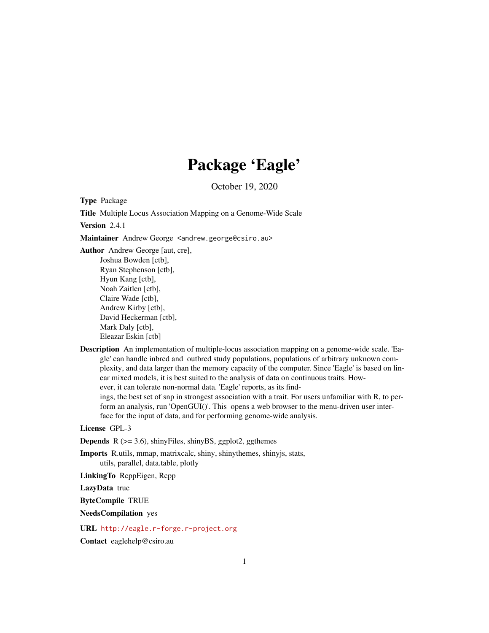## Package 'Eagle'

October 19, 2020

<span id="page-0-0"></span>Type Package

Title Multiple Locus Association Mapping on a Genome-Wide Scale

Version 2.4.1

Maintainer Andrew George <andrew.george@csiro.au>

Author Andrew George [aut, cre], Joshua Bowden [ctb], Ryan Stephenson [ctb], Hyun Kang [ctb], Noah Zaitlen [ctb], Claire Wade [ctb], Andrew Kirby [ctb], David Heckerman [ctb], Mark Daly [ctb], Eleazar Eskin [ctb]

Description An implementation of multiple-locus association mapping on a genome-wide scale. 'Eagle' can handle inbred and outbred study populations, populations of arbitrary unknown complexity, and data larger than the memory capacity of the computer. Since 'Eagle' is based on linear mixed models, it is best suited to the analysis of data on continuous traits. However, it can tolerate non-normal data. 'Eagle' reports, as its findings, the best set of snp in strongest association with a trait. For users unfamiliar with R, to perform an analysis, run 'OpenGUI()'. This opens a web browser to the menu-driven user interface for the input of data, and for performing genome-wide analysis.

License GPL-3

**Depends**  $R$  ( $>= 3.6$ ), shinyFiles, shinyBS, ggplot2, ggthemes

Imports R.utils, mmap, matrixcalc, shiny, shinythemes, shinyjs, stats, utils, parallel, data.table, plotly

LinkingTo RcppEigen, Rcpp

LazyData true

ByteCompile TRUE

NeedsCompilation yes

URL <http://eagle.r-forge.r-project.org>

Contact eaglehelp@csiro.au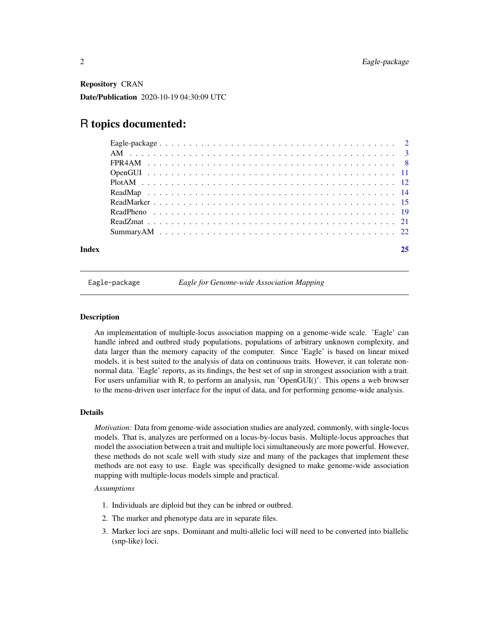<span id="page-1-0"></span>Repository CRAN Date/Publication 2020-10-19 04:30:09 UTC

## R topics documented:

| Index |  |
|-------|--|

Eagle-package *Eagle for Genome-wide Association Mapping*

## Description

An implementation of multiple-locus association mapping on a genome-wide scale. 'Eagle' can handle inbred and outbred study populations, populations of arbitrary unknown complexity, and data larger than the memory capacity of the computer. Since 'Eagle' is based on linear mixed models, it is best suited to the analysis of data on continuous traits. However, it can tolerate nonnormal data. 'Eagle' reports, as its findings, the best set of snp in strongest association with a trait. For users unfamiliar with R, to perform an analysis, run 'OpenGUI()'. This opens a web browser to the menu-driven user interface for the input of data, and for performing genome-wide analysis.

#### Details

*Motivation:* Data from genome-wide association studies are analyzed, commonly, with single-locus models. That is, analyzes are performed on a locus-by-locus basis. Multiple-locus approaches that model the association between a trait and multiple loci simultaneously are more powerful. However, these methods do not scale well with study size and many of the packages that implement these methods are not easy to use. Eagle was specifically designed to make genome-wide association mapping with multiple-locus models simple and practical.

#### *Assumptions*

- 1. Individuals are diploid but they can be inbred or outbred.
- 2. The marker and phenotype data are in separate files.
- 3. Marker loci are snps. Dominant and multi-allelic loci will need to be converted into biallelic (snp-like) loci.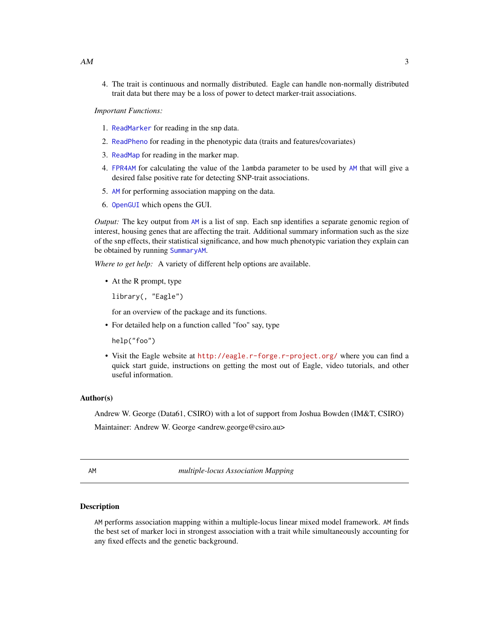<span id="page-2-0"></span>4. The trait is continuous and normally distributed. Eagle can handle non-normally distributed trait data but there may be a loss of power to detect marker-trait associations.

*Important Functions:*

- 1. [ReadMarker](#page-14-1) for reading in the snp data.
- 2. [ReadPheno](#page-18-1) for reading in the phenotypic data (traits and features/covariates)
- 3. [ReadMap](#page-13-1) for reading in the marker map.
- 4. [FPR4AM](#page-7-1) for calculating the value of the lambda parameter to be used by [AM](#page-2-1) that will give a desired false positive rate for detecting SNP-trait associations.
- 5. [AM](#page-2-1) for performing association mapping on the data.
- 6. [OpenGUI](#page-10-1) which opens the GUI.

*Output:* The key output from [AM](#page-2-1) is a list of snp. Each snp identifies a separate genomic region of interest, housing genes that are affecting the trait. Additional summary information such as the size of the snp effects, their statistical significance, and how much phenotypic variation they explain can be obtained by running [SummaryAM](#page-21-1).

*Where to get help:* A variety of different help options are available.

• At the R prompt, type

library(, "Eagle")

for an overview of the package and its functions.

• For detailed help on a function called "foo" say, type

help("foo")

• Visit the Eagle website at <http://eagle.r-forge.r-project.org/> where you can find a quick start guide, instructions on getting the most out of Eagle, video tutorials, and other useful information.

#### Author(s)

Andrew W. George (Data61, CSIRO) with a lot of support from Joshua Bowden (IM&T, CSIRO)

Maintainer: Andrew W. George <andrew.george@csiro.au>

<span id="page-2-1"></span>AM *multiple-locus Association Mapping*

## **Description**

AM performs association mapping within a multiple-locus linear mixed model framework. AM finds the best set of marker loci in strongest association with a trait while simultaneously accounting for any fixed effects and the genetic background.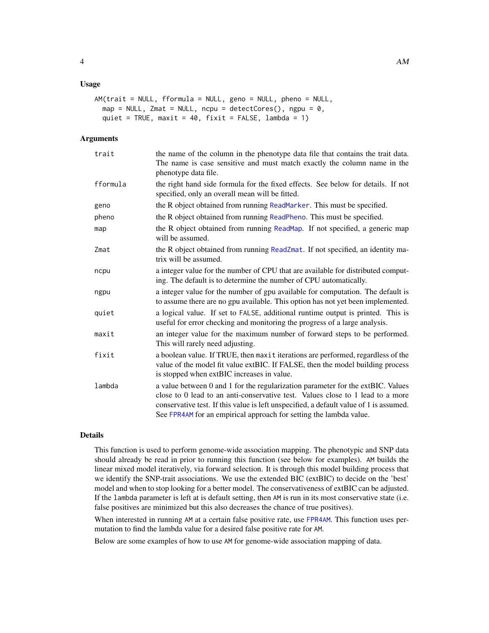## <span id="page-3-0"></span>Usage

```
AM(trait = NULL, fformula = NULL, geno = NULL, pheno = NULL,
  map = NULL, Zmat = NULL, ncpu = detectCores(), ngpu = \theta,
  quiet = TRUE, maxit = 40, fixit = FALSE, lambda = 1)
```
## Arguments

| trait    | the name of the column in the phenotype data file that contains the trait data.<br>The name is case sensitive and must match exactly the column name in the<br>phenotype data file.                                                                                                                                               |
|----------|-----------------------------------------------------------------------------------------------------------------------------------------------------------------------------------------------------------------------------------------------------------------------------------------------------------------------------------|
| fformula | the right hand side formula for the fixed effects. See below for details. If not<br>specified, only an overall mean will be fitted.                                                                                                                                                                                               |
| geno     | the R object obtained from running ReadMarker. This must be specified.                                                                                                                                                                                                                                                            |
| pheno    | the R object obtained from running ReadPheno. This must be specified.                                                                                                                                                                                                                                                             |
| map      | the R object obtained from running ReadMap. If not specified, a generic map<br>will be assumed.                                                                                                                                                                                                                                   |
| Zmat     | the R object obtained from running ReadZmat. If not specified, an identity ma-<br>trix will be assumed.                                                                                                                                                                                                                           |
| ncpu     | a integer value for the number of CPU that are available for distributed comput-<br>ing. The default is to determine the number of CPU automatically.                                                                                                                                                                             |
| ngpu     | a integer value for the number of gpu available for computation. The default is<br>to assume there are no gpu available. This option has not yet been implemented.                                                                                                                                                                |
| quiet    | a logical value. If set to FALSE, additional runtime output is printed. This is<br>useful for error checking and monitoring the progress of a large analysis.                                                                                                                                                                     |
| maxit    | an integer value for the maximum number of forward steps to be performed.<br>This will rarely need adjusting.                                                                                                                                                                                                                     |
| fixit    | a boolean value. If TRUE, then maxit iterations are performed, regardless of the<br>value of the model fit value extBIC. If FALSE, then the model building process<br>is stopped when extBIC increases in value.                                                                                                                  |
| lambda   | a value between 0 and 1 for the regularization parameter for the extBIC. Values<br>close to 0 lead to an anti-conservative test. Values close to 1 lead to a more<br>conservative test. If this value is left unspecified, a default value of 1 is assumed.<br>See FPR4AM for an empirical approach for setting the lambda value. |

## Details

This function is used to perform genome-wide association mapping. The phenotypic and SNP data should already be read in prior to running this function (see below for examples). AM builds the linear mixed model iteratively, via forward selection. It is through this model building process that we identify the SNP-trait associations. We use the extended BIC (extBIC) to decide on the 'best' model and when to stop looking for a better model. The conservativeness of extBIC can be adjusted. If the lambda parameter is left at is default setting, then AM is run in its most conservative state (i.e. false positives are minimized but this also decreases the chance of true positives).

When interested in running AM at a certain false positive rate, use [FPR4AM](#page-7-1). This function uses permutation to find the lambda value for a desired false positive rate for AM.

Below are some examples of how to use AM for genome-wide association mapping of data.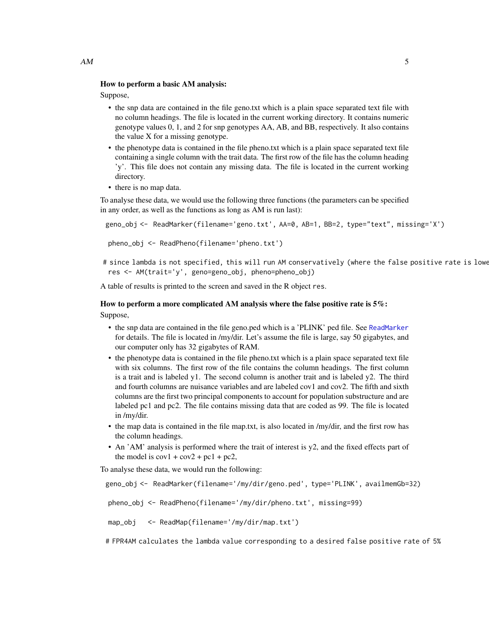## How to perform a basic AM analysis:

Suppose,

- the snp data are contained in the file geno.txt which is a plain space separated text file with no column headings. The file is located in the current working directory. It contains numeric genotype values 0, 1, and 2 for snp genotypes AA, AB, and BB, respectively. It also contains the value X for a missing genotype.
- the phenotype data is contained in the file pheno.txt which is a plain space separated text file containing a single column with the trait data. The first row of the file has the column heading 'y'. This file does not contain any missing data. The file is located in the current working directory.
- there is no map data.

To analyse these data, we would use the following three functions (the parameters can be specified in any order, as well as the functions as long as AM is run last):

```
geno_obj <- ReadMarker(filename='geno.txt', AA=0, AB=1, BB=2, type="text", missing='X')
```

```
pheno_obj <- ReadPheno(filename='pheno.txt')
```
# since lambda is not specified, this will run AM conservatively (where the false positive rate is lowe res <- AM(trait='y', geno=geno\_obj, pheno=pheno\_obj)

A table of results is printed to the screen and saved in the R object res.

## How to perform a more complicated AM analysis where the false positive rate is  $5\%$ :

Suppose,

- the snp data are contained in the file geno.ped which is a 'PLINK' ped file. See [ReadMarker](#page-14-1) for details. The file is located in /my/dir. Let's assume the file is large, say 50 gigabytes, and our computer only has 32 gigabytes of RAM.
- the phenotype data is contained in the file pheno.txt which is a plain space separated text file with six columns. The first row of the file contains the column headings. The first column is a trait and is labeled y1. The second column is another trait and is labeled y2. The third and fourth columns are nuisance variables and are labeled cov1 and cov2. The fifth and sixth columns are the first two principal components to account for population substructure and are labeled pc1 and pc2. The file contains missing data that are coded as 99. The file is located in /my/dir.
- the map data is contained in the file map.txt, is also located in /my/dir, and the first row has the column headings.
- An 'AM' analysis is performed where the trait of interest is y2, and the fixed effects part of the model is  $\text{cov1} + \text{cov2} + \text{pc1} + \text{pc2}$ ,

To analyse these data, we would run the following:

```
geno_obj <- ReadMarker(filename='/my/dir/geno.ped', type='PLINK', availmemGb=32)
pheno_obj <- ReadPheno(filename='/my/dir/pheno.txt', missing=99)
map_obj <- ReadMap(filename='/my/dir/map.txt')
```
# FPR4AM calculates the lambda value corresponding to a desired false positive rate of 5%

 $AM$  5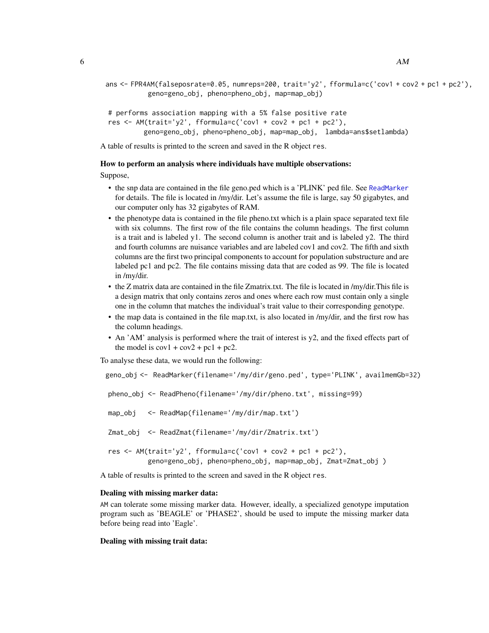```
ans <- FPR4AM(falseposrate=0.05, numreps=200, trait='y2', fformula=c('cov1 + cov2 + pc1 + pc2'),
          geno=geno_obj, pheno=pheno_obj, map=map_obj)
```

```
# performs association mapping with a 5% false positive rate
res \leq AM(trait='y2', fformula=c('cov1 + cov2 + pc1 + pc2'),
         geno=geno_obj, pheno=pheno_obj, map=map_obj, lambda=ans$setlambda)
```
A table of results is printed to the screen and saved in the R object res.

#### How to perform an analysis where individuals have multiple observations:

Suppose,

- the snp data are contained in the file geno.ped which is a 'PLINK' ped file. See [ReadMarker](#page-14-1) for details. The file is located in /my/dir. Let's assume the file is large, say 50 gigabytes, and our computer only has 32 gigabytes of RAM.
- the phenotype data is contained in the file pheno.txt which is a plain space separated text file with six columns. The first row of the file contains the column headings. The first column is a trait and is labeled y1. The second column is another trait and is labeled y2. The third and fourth columns are nuisance variables and are labeled cov1 and cov2. The fifth and sixth columns are the first two principal components to account for population substructure and are labeled pc1 and pc2. The file contains missing data that are coded as 99. The file is located in /my/dir.
- the Z matrix data are contained in the file Zmatrix.txt. The file is located in /my/dir.This file is a design matrix that only contains zeros and ones where each row must contain only a single one in the column that matches the individual's trait value to their corresponding genotype.
- the map data is contained in the file map.txt, is also located in /my/dir, and the first row has the column headings.
- An 'AM' analysis is performed where the trait of interest is y2, and the fixed effects part of the model is  $\text{cov1} + \text{cov2} + \text{pc1} + \text{pc2}$ .

To analyse these data, we would run the following:

```
geno_obj <- ReadMarker(filename='/my/dir/geno.ped', type='PLINK', availmemGb=32)
pheno_obj <- ReadPheno(filename='/my/dir/pheno.txt', missing=99)
map_obj <- ReadMap(filename='/my/dir/map.txt')
Zmat_obj <- ReadZmat(filename='/my/dir/Zmatrix.txt')
res \leq AM(trait='y2', fformula=c('cov1 + cov2 + pc1 + pc2'),
          geno=geno_obj, pheno=pheno_obj, map=map_obj, Zmat=Zmat_obj )
```
A table of results is printed to the screen and saved in the R object res.

#### Dealing with missing marker data:

AM can tolerate some missing marker data. However, ideally, a specialized genotype imputation program such as 'BEAGLE' or 'PHASE2', should be used to impute the missing marker data before being read into 'Eagle'.

#### Dealing with missing trait data: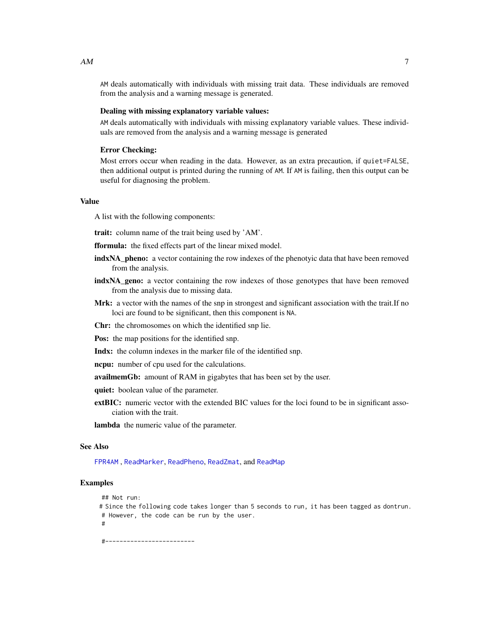AM deals automatically with individuals with missing trait data. These individuals are removed from the analysis and a warning message is generated.

## Dealing with missing explanatory variable values:

AM deals automatically with individuals with missing explanatory variable values. These individuals are removed from the analysis and a warning message is generated

## Error Checking:

Most errors occur when reading in the data. However, as an extra precaution, if quiet=FALSE, then additional output is printed during the running of AM. If AM is failing, then this output can be useful for diagnosing the problem.

## Value

A list with the following components:

trait: column name of the trait being used by 'AM'.

- fformula: the fixed effects part of the linear mixed model.
- indxNA\_pheno: a vector containing the row indexes of the phenotyic data that have been removed from the analysis.
- indxNA\_geno: a vector containing the row indexes of those genotypes that have been removed from the analysis due to missing data.
- Mrk: a vector with the names of the snp in strongest and significant association with the trait. If no loci are found to be significant, then this component is NA.
- Chr: the chromosomes on which the identified snp lie.
- Pos: the map positions for the identified snp.
- Indx: the column indexes in the marker file of the identified snp.
- ncpu: number of cpu used for the calculations.
- availmemGb: amount of RAM in gigabytes that has been set by the user.
- quiet: boolean value of the parameter.
- extBIC: numeric vector with the extended BIC values for the loci found to be in significant association with the trait.

lambda the numeric value of the parameter.

## See Also

[FPR4AM](#page-7-1) , [ReadMarker](#page-14-1), [ReadPheno](#page-18-1), [ReadZmat](#page-20-1), and [ReadMap](#page-13-1)

#### Examples

```
## Not run:
```
# Since the following code takes longer than 5 seconds to run, it has been tagged as dontrun. # However, the code can be run by the user. #

#-------------------------

<span id="page-6-0"></span> $AM$  7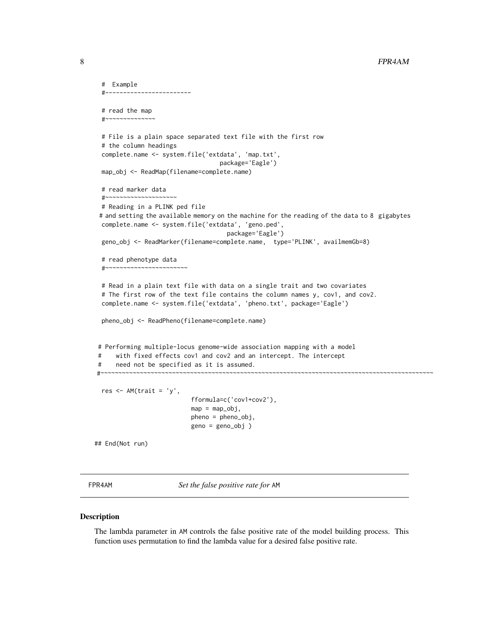```
# Example
    #------------------------
 # read the map
  #~~~~~~~~~~~~~~
 # File is a plain space separated text file with the first row
 # the column headings
 complete.name <- system.file('extdata', 'map.txt',
                                     package='Eagle')
 map_obj <- ReadMap(filename=complete.name)
 # read marker data
 #~~~~~~~~~~# Reading in a PLINK ped file
 # and setting the available memory on the machine for the reading of the data to 8 gigabytes
 complete.name <- system.file('extdata', 'geno.ped',
                                       package='Eagle')
 geno_obj <- ReadMarker(filename=complete.name, type='PLINK', availmemGb=8)
 # read phenotype data
  #~~~~~~~~~~~~~~~~~~~~~~~
 # Read in a plain text file with data on a single trait and two covariates
 # The first row of the text file contains the column names y, cov1, and cov2.
 complete.name <- system.file('extdata', 'pheno.txt', package='Eagle')
 pheno_obj <- ReadPheno(filename=complete.name)
# Performing multiple-locus genome-wide association mapping with a model
# with fixed effects cov1 and cov2 and an intercept. The intercept
# need not be specified as it is assumed.
#~~~~~~~~~~~~~~~~~~~~~~~~~~~~~~~~~~~~~~~~~~~~~~~~~~~~~~~~~~~~~~~~~~~~~~~~~~~~~~~~~~~~~~~~~~~~~
 res <- AM(trait = 'y',
                            fformula=c('cov1+cov2'),
                             map = map\_obj,pheno = pheno_obj,
                             geno = geno_obj )
## End(Not run)
```
<span id="page-7-1"></span>

FPR4AM *Set the false positive rate for* AM

## Description

The lambda parameter in AM controls the false positive rate of the model building process. This function uses permutation to find the lambda value for a desired false positive rate.

<span id="page-7-0"></span>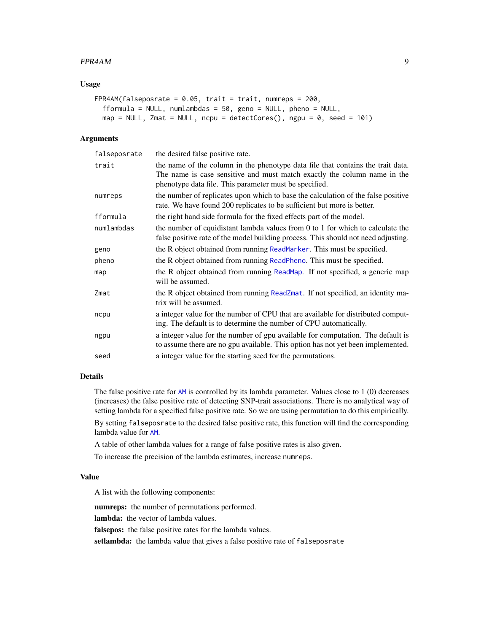## <span id="page-8-0"></span>FPR4AM 99

## Usage

```
FPR4AM(falseposrate = 0.05, trait = trait, numreps = 200,
  fformula = NULL, numlambdas = 50, geno = NULL, pheno = NULL,
 map = NULL, Zmat = NULL, ncpu = detectCores(), ngpu = 0, seed = 101)
```
## Arguments

| falseposrate | the desired false positive rate.                                                                                                                                                                                      |
|--------------|-----------------------------------------------------------------------------------------------------------------------------------------------------------------------------------------------------------------------|
| trait        | the name of the column in the phenotype data file that contains the trait data.<br>The name is case sensitive and must match exactly the column name in the<br>phenotype data file. This parameter must be specified. |
| numreps      | the number of replicates upon which to base the calculation of the false positive<br>rate. We have found 200 replicates to be sufficient but more is better.                                                          |
| fformula     | the right hand side formula for the fixed effects part of the model.                                                                                                                                                  |
| numlambdas   | the number of equidistant lambda values from $0$ to 1 for which to calculate the<br>false positive rate of the model building process. This should not need adjusting.                                                |
| geno         | the R object obtained from running ReadMarker. This must be specified.                                                                                                                                                |
| pheno        | the R object obtained from running ReadPheno. This must be specified.                                                                                                                                                 |
| map          | the R object obtained from running ReadMap. If not specified, a generic map<br>will be assumed.                                                                                                                       |
| Zmat         | the R object obtained from running ReadZmat. If not specified, an identity ma-<br>trix will be assumed.                                                                                                               |
| ncpu         | a integer value for the number of CPU that are available for distributed comput-<br>ing. The default is to determine the number of CPU automatically.                                                                 |
| ngpu         | a integer value for the number of gpu available for computation. The default is<br>to assume there are no gpu available. This option has not yet been implemented.                                                    |
| seed         | a integer value for the starting seed for the permutations.                                                                                                                                                           |

## Details

The false positive rate for [AM](#page-2-1) is controlled by its lambda parameter. Values close to 1 (0) decreases (increases) the false positive rate of detecting SNP-trait associations. There is no analytical way of setting lambda for a specified false positive rate. So we are using permutation to do this empirically. By setting falseposrate to the desired false positive rate, this function will find the corresponding lambda value for [AM](#page-2-1).

A table of other lambda values for a range of false positive rates is also given.

To increase the precision of the lambda estimates, increase numreps.

## Value

A list with the following components:

numreps: the number of permutations performed.

lambda: the vector of lambda values.

falsepos: the false positive rates for the lambda values.

setlambda: the lambda value that gives a false positive rate of falseposrate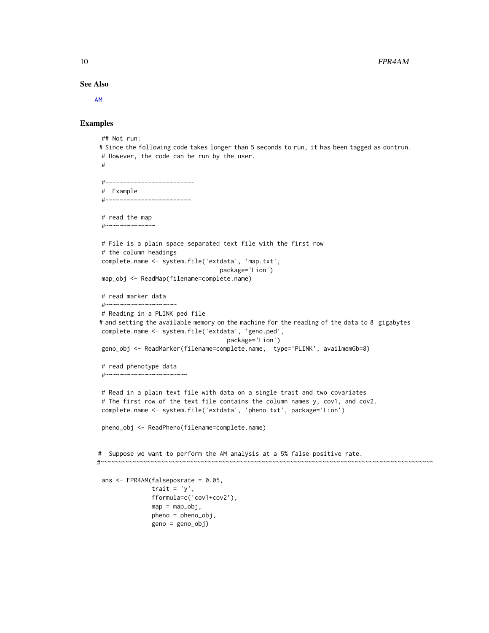See Also

[AM](#page-2-1)

## Examples

```
## Not run:
# Since the following code takes longer than 5 seconds to run, it has been tagged as dontrun.
 # However, the code can be run by the user.
 #
 #-------------------------
 # Example
 #------------------------
 # read the map
 #~~~~~~~~~~~~~~
 # File is a plain space separated text file with the first row
 # the column headings
 complete.name <- system.file('extdata', 'map.txt',
                                  package='Lion')
 map_obj <- ReadMap(filename=complete.name)
 # read marker data
 #~~~~~~~~~~~~~~~~~~~~~
 # Reading in a PLINK ped file
# and setting the available memory on the machine for the reading of the data to 8 gigabytes
 complete.name <- system.file('extdata', 'geno.ped',
                                    package='Lion')
 geno_obj <- ReadMarker(filename=complete.name, type='PLINK', availmemGb=8)
 # read phenotype data
 #~~~~~~~~~~~~~~~~~~~~~~~
 # Read in a plain text file with data on a single trait and two covariates
 # The first row of the text file contains the column names y, cov1, and cov2.
 complete.name <- system.file('extdata', 'pheno.txt', package='Lion')
 pheno_obj <- ReadPheno(filename=complete.name)
# Suppose we want to perform the AM analysis at a 5% false positive rate.
#~~~~~~~~~~~~~~~~~~~~~~~~~~~~~~~~~~~~~~~~~~~~~~~~~~~~~~~~~~~~~~~~~~~~~~~~~~~~~~~~~~~~~~~~~~~~~
 ans <- FPR4AM(falseposrate = 0.05,
               trait = 'y',
               fformula=c('cov1+cov2'),
               map = map_obj,
               pheno = pheno_obj,
               geno = geno_obj)
```
<span id="page-9-0"></span>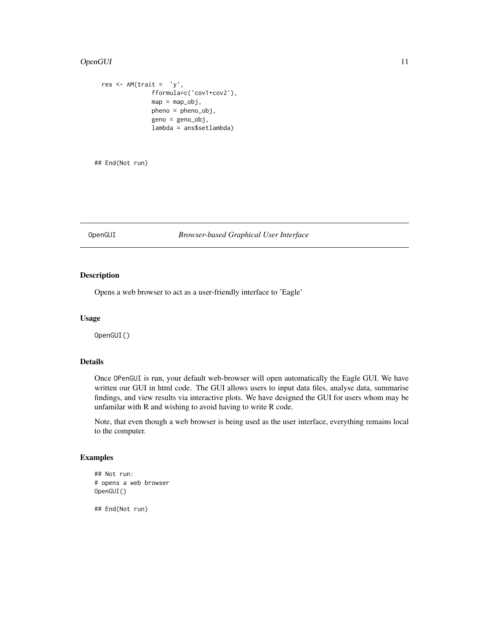## <span id="page-10-0"></span>OpenGUI 11

```
res \leq -AM(trait = 'y',fformula=c('cov1+cov2'),
              map = map\_obj,pheno = pheno_obj,
              geno = geno_obj,
              lambda = ans$setlambda)
```
## End(Not run)

## <span id="page-10-1"></span>OpenGUI *Browser-based Graphical User Interface*

## Description

Opens a web browser to act as a user-friendly interface to 'Eagle'

#### Usage

OpenGUI()

## Details

Once OPenGUI is run, your default web-browser will open automatically the Eagle GUI. We have written our GUI in html code. The GUI allows users to input data files, analyse data, summarise findings, and view results via interactive plots. We have designed the GUI for users whom may be unfamilar with R and wishing to avoid having to write R code.

Note, that even though a web browser is being used as the user interface, everything remains local to the computer.

## Examples

```
## Not run:
# opens a web browser
OpenGUI()
```
## End(Not run)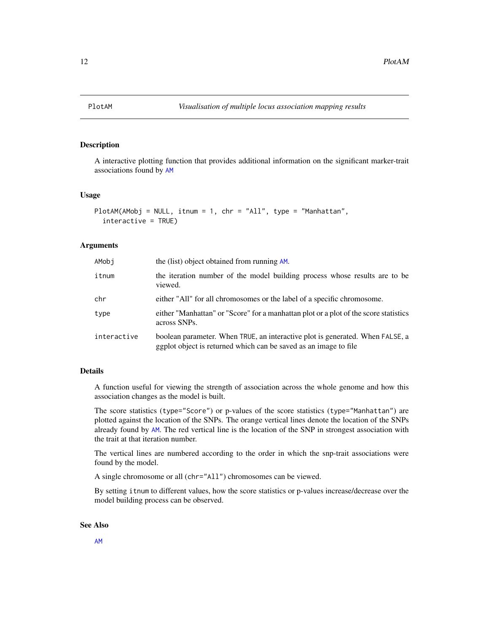<span id="page-11-0"></span>

## Description

A interactive plotting function that provides additional information on the significant marker-trait associations found by [AM](#page-2-1)

## Usage

```
PlotAM(AMobj = NULL, itnum = 1, chr = "All", type = "Manhattan",
  interactive = TRUE)
```
## Arguments

| AMobi       | the (list) object obtained from running AM.                                                                                                       |
|-------------|---------------------------------------------------------------------------------------------------------------------------------------------------|
| itnum       | the iteration number of the model building process whose results are to be<br>viewed.                                                             |
| chr         | either "All" for all chromosomes or the label of a specific chromosome.                                                                           |
| type        | either "Manhattan" or "Score" for a manhattan plot or a plot of the score statistics<br>across SNPs.                                              |
| interactive | boolean parameter. When TRUE, an interactive plot is generated. When FALSE, a<br>ggplot object is returned which can be saved as an image to file |

## Details

A function useful for viewing the strength of association across the whole genome and how this association changes as the model is built.

The score statistics (type="Score") or p-values of the score statistics (type="Manhattan") are plotted against the location of the SNPs. The orange vertical lines denote the location of the SNPs already found by [AM](#page-2-1). The red vertical line is the location of the SNP in strongest association with the trait at that iteration number.

The vertical lines are numbered according to the order in which the snp-trait associations were found by the model.

A single chromosome or all (chr="All") chromosomes can be viewed.

By setting itnum to different values, how the score statistics or p-values increase/decrease over the model building process can be observed.

## See Also

[AM](#page-2-1)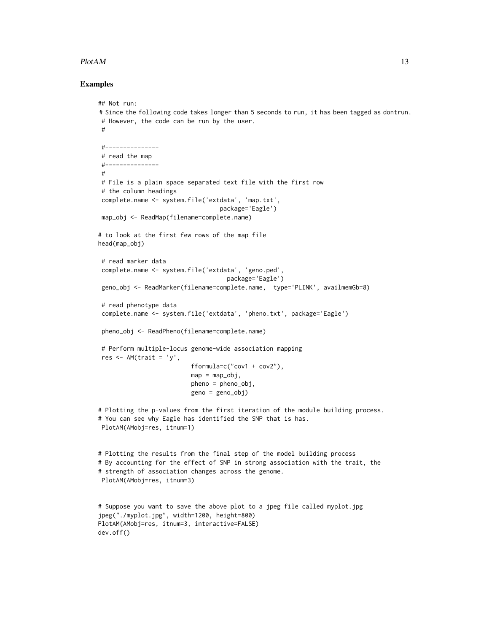## $P$ lot $AM$  13

## Examples

```
## Not run:
# Since the following code takes longer than 5 seconds to run, it has been tagged as dontrun.
 # However, the code can be run by the user.
 #
 #---------------
 # read the map
 #---------------
 #
 # File is a plain space separated text file with the first row
 # the column headings
 complete.name <- system.file('extdata', 'map.txt',
                                  package='Eagle')
 map_obj <- ReadMap(filename=complete.name)
# to look at the first few rows of the map file
head(map_obj)
 # read marker data
 complete.name <- system.file('extdata', 'geno.ped',
                                    package='Eagle')
 geno_obj <- ReadMarker(filename=complete.name, type='PLINK', availmemGb=8)
 # read phenotype data
 complete.name <- system.file('extdata', 'pheno.txt', package='Eagle')
 pheno_obj <- ReadPheno(filename=complete.name)
 # Perform multiple-locus genome-wide association mapping
 res <- AM(trait = 'y',
                          fformula=c("cov1 + cov2"),
                          map = map\_obj,pheno = pheno_obj,
                          geno = geno_obj)
# Plotting the p-values from the first iteration of the module building process.
# You can see why Eagle has identified the SNP that is has.
PlotAM(AMobj=res, itnum=1)
# Plotting the results from the final step of the model building process
# By accounting for the effect of SNP in strong association with the trait, the
# strength of association changes across the genome.
PlotAM(AMobj=res, itnum=3)
# Suppose you want to save the above plot to a jpeg file called myplot.jpg
jpeg("./myplot.jpg", width=1200, height=800)
PlotAM(AMobj=res, itnum=3, interactive=FALSE)
dev.off()
```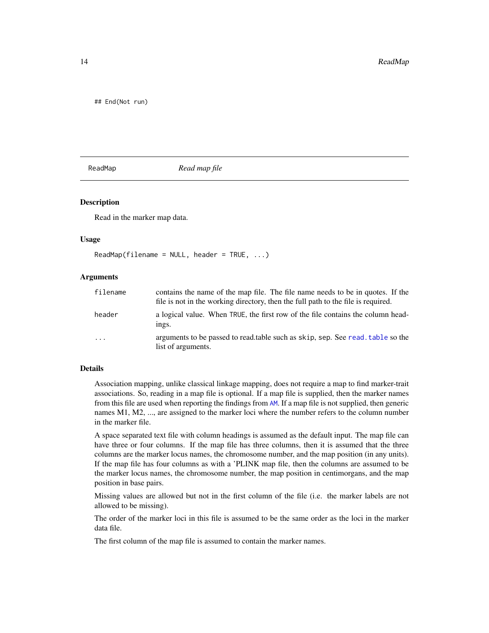<span id="page-13-0"></span>## End(Not run)

<span id="page-13-1"></span>ReadMap *Read map file*

## Description

Read in the marker map data.

#### Usage

 $ReadMap(filename = NULL, header = TRUE, ...)$ 

## Arguments

| filename | contains the name of the map file. The file name needs to be in quotes. If the<br>file is not in the working directory, then the full path to the file is required. |
|----------|---------------------------------------------------------------------------------------------------------------------------------------------------------------------|
| header   | a logical value. When TRUE, the first row of the file contains the column head-<br>ings.                                                                            |
| .        | arguments to be passed to read, table such as skip, sep. See read, table so the<br>list of arguments.                                                               |

## Details

Association mapping, unlike classical linkage mapping, does not require a map to find marker-trait associations. So, reading in a map file is optional. If a map file is supplied, then the marker names from this file are used when reporting the findings from [AM](#page-2-1). If a map file is not supplied, then generic names M1, M2, ..., are assigned to the marker loci where the number refers to the column number in the marker file.

A space separated text file with column headings is assumed as the default input. The map file can have three or four columns. If the map file has three columns, then it is assumed that the three columns are the marker locus names, the chromosome number, and the map position (in any units). If the map file has four columns as with a 'PLINK map file, then the columns are assumed to be the marker locus names, the chromosome number, the map position in centimorgans, and the map position in base pairs.

Missing values are allowed but not in the first column of the file (i.e. the marker labels are not allowed to be missing).

The order of the marker loci in this file is assumed to be the same order as the loci in the marker data file.

The first column of the map file is assumed to contain the marker names.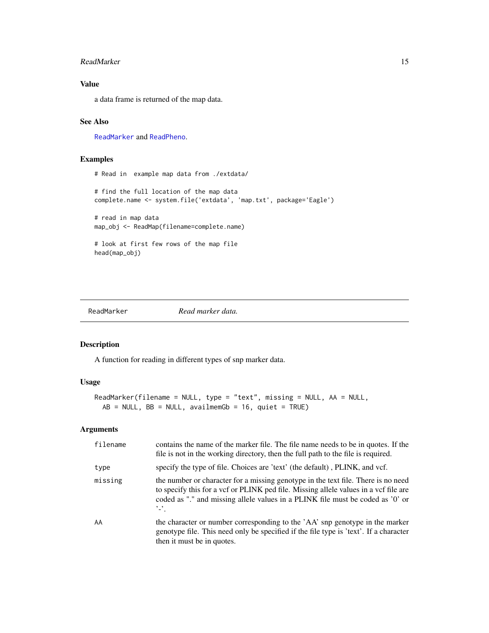## <span id="page-14-0"></span>ReadMarker 15

## Value

a data frame is returned of the map data.

## See Also

[ReadMarker](#page-14-1) and [ReadPheno](#page-18-1).

## Examples

# Read in example map data from ./extdata/ # find the full location of the map data complete.name <- system.file('extdata', 'map.txt', package='Eagle') # read in map data map\_obj <- ReadMap(filename=complete.name) # look at first few rows of the map file head(map\_obj)

<span id="page-14-1"></span>ReadMarker *Read marker data.*

## Description

A function for reading in different types of snp marker data.

## Usage

```
ReadMarker(filename = NULL, type = "text", missing = NULL, AA = NULL,
 AB = NULL, BB = NULL, availmemGb = 16, quiet = TRUE)
```
## Arguments

| filename | contains the name of the marker file. The file name needs to be in quotes. If the<br>file is not in the working directory, then the full path to the file is required.                                                                                                         |
|----------|--------------------------------------------------------------------------------------------------------------------------------------------------------------------------------------------------------------------------------------------------------------------------------|
| type     | specify the type of file. Choices are 'text' (the default), PLINK, and vcf.                                                                                                                                                                                                    |
| missing  | the number or character for a missing genotype in the text file. There is no need<br>to specify this for a vcf or PLINK ped file. Missing allele values in a vcf file are<br>coded as "." and missing allele values in a PLINK file must be coded as '0' or<br>$\cdot$ $\cdot$ |
| AA       | the character or number corresponding to the 'AA' snp genotype in the marker<br>genotype file. This need only be specified if the file type is 'text'. If a character<br>then it must be in quotes.                                                                            |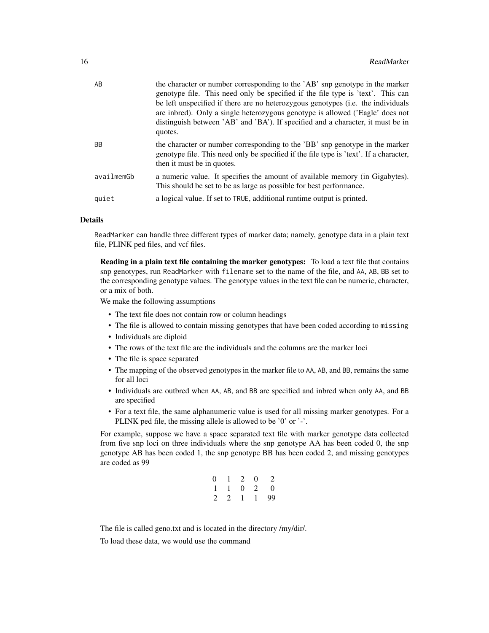| AB         | the character or number corresponding to the 'AB' snp genotype in the marker<br>genotype file. This need only be specified if the file type is 'text'. This can<br>be left unspecified if there are no heterozygous genotypes (i.e. the individuals<br>are inbred). Only a single heterozygous genotype is allowed ('Eagle' does not<br>distinguish between 'AB' and 'BA'). If specified and a character, it must be in<br>quotes. |
|------------|------------------------------------------------------------------------------------------------------------------------------------------------------------------------------------------------------------------------------------------------------------------------------------------------------------------------------------------------------------------------------------------------------------------------------------|
| <b>BB</b>  | the character or number corresponding to the 'BB' snp genotype in the marker<br>genotype file. This need only be specified if the file type is 'text'. If a character,<br>then it must be in quotes.                                                                                                                                                                                                                               |
| availmemGb | a numeric value. It specifies the amount of available memory (in Gigabytes).<br>This should be set to be as large as possible for best performance.                                                                                                                                                                                                                                                                                |
| quiet      | a logical value. If set to TRUE, additional runtime output is printed.                                                                                                                                                                                                                                                                                                                                                             |

## Details

ReadMarker can handle three different types of marker data; namely, genotype data in a plain text file, PLINK ped files, and vcf files.

Reading in a plain text file containing the marker genotypes: To load a text file that contains snp genotypes, run ReadMarker with filename set to the name of the file, and AA, AB, BB set to the corresponding genotype values. The genotype values in the text file can be numeric, character, or a mix of both.

We make the following assumptions

- The text file does not contain row or column headings
- The file is allowed to contain missing genotypes that have been coded according to missing
- Individuals are diploid
- The rows of the text file are the individuals and the columns are the marker loci
- The file is space separated
- The mapping of the observed genotypes in the marker file to AA, AB, and BB, remains the same for all loci
- Individuals are outbred when AA, AB, and BB are specified and inbred when only AA, and BB are specified
- For a text file, the same alphanumeric value is used for all missing marker genotypes. For a PLINK ped file, the missing allele is allowed to be '0' or '-'.

For example, suppose we have a space separated text file with marker genotype data collected from five snp loci on three individuals where the snp genotype AA has been coded 0, the snp genotype AB has been coded 1, the snp genotype BB has been coded 2, and missing genotypes are coded as 99

| 0              | $\perp$      | 2            | 0       | 2        |
|----------------|--------------|--------------|---------|----------|
| $\overline{1}$ | $\mathbf{I}$ | $\theta$     | 2       | $\Omega$ |
| 2              | 2            | $\mathbf{I}$ | $\perp$ | 99       |

The file is called geno.txt and is located in the directory /my/dir/.

To load these data, we would use the command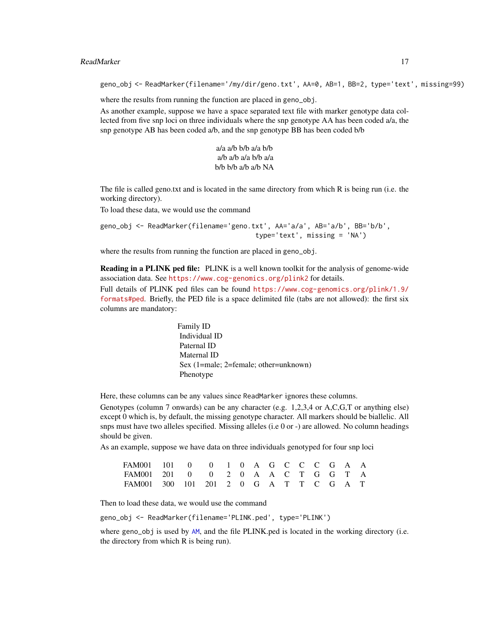## <span id="page-16-0"></span>ReadMarker 17

geno\_obj <- ReadMarker(filename='/my/dir/geno.txt', AA=0, AB=1, BB=2, type='text', missing=99)

where the results from running the function are placed in geno\_obj.

As another example, suppose we have a space separated text file with marker genotype data collected from five snp loci on three individuals where the snp genotype AA has been coded a/a, the snp genotype AB has been coded a/b, and the snp genotype BB has been coded b/b

> a/a a/b b/b a/a b/b a/b a/b a/a b/b a/a b/b b/b a/b a/b NA

The file is called geno.txt and is located in the same directory from which R is being run (i.e. the working directory).

To load these data, we would use the command

geno\_obj <- ReadMarker(filename='geno.txt', AA='a/a', AB='a/b', BB='b/b', type='text', missing = 'NA')

where the results from running the function are placed in geno\_obj.

Reading in a PLINK ped file: PLINK is a well known toolkit for the analysis of genome-wide association data. See <https://www.cog-genomics.org/plink2> for details.

Full details of PLINK ped files can be found [https://www.cog-genomics.org/plink/1.9/](https://www.cog-genomics.org/plink/1.9/formats#ped) [formats#ped](https://www.cog-genomics.org/plink/1.9/formats#ped). Briefly, the PED file is a space delimited file (tabs are not allowed): the first six columns are mandatory:

> Family ID Individual ID Paternal ID Maternal ID Sex (1=male; 2=female; other=unknown) Phenotype

Here, these columns can be any values since ReadMarker ignores these columns.

Genotypes (column 7 onwards) can be any character (e.g. 1,2,3,4 or A,C,G,T or anything else) except 0 which is, by default, the missing genotype character. All markers should be biallelic. All snps must have two alleles specified. Missing alleles (i.e 0 or -) are allowed. No column headings should be given.

As an example, suppose we have data on three individuals genotyped for four snp loci

| FAM001 101 0 0 1 0 A G C C G A A       |  |  |  |  |  |  |  |
|----------------------------------------|--|--|--|--|--|--|--|
| FAM001 201 0 0 2 0 A A C T G G T A     |  |  |  |  |  |  |  |
| FAM001 300 101 201 2 0 G A T T C G A T |  |  |  |  |  |  |  |

Then to load these data, we would use the command

geno\_obj <- ReadMarker(filename='PLINK.ped', type='PLINK')

where geno<sub>rr</sub>obj is used by [AM](#page-2-1), and the file PLINK.ped is located in the working directory (i.e. the directory from which R is being run).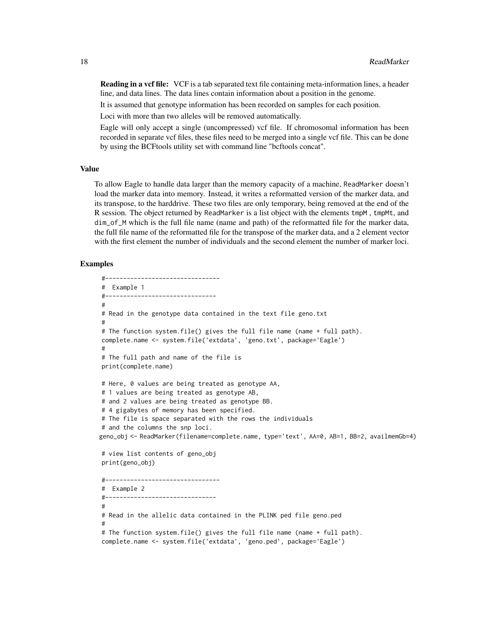Reading in a vcf file: VCF is a tab separated text file containing meta-information lines, a header line, and data lines. The data lines contain information about a position in the genome.

It is assumed that genotype information has been recorded on samples for each position.

Loci with more than two alleles will be removed automatically.

Eagle will only accept a single (uncompressed) vcf file. If chromosomal information has been recorded in separate vcf files, these files need to be merged into a single vcf file. This can be done by using the BCFtools utility set with command line "bcftools concat".

#### Value

To allow Eagle to handle data larger than the memory capacity of a machine, ReadMarker doesn't load the marker data into memory. Instead, it writes a reformatted version of the marker data, and its transpose, to the harddrive. These two files are only temporary, being removed at the end of the R session. The object returned by ReadMarker is a list object with the elements tmpM , tmpMt, and dim\_of\_M which is the full file name (name and path) of the reformatted file for the marker data, the full file name of the reformatted file for the transpose of the marker data, and a 2 element vector with the first element the number of individuals and the second element the number of marker loci.

## Examples

#--------------------------------

```
# Example 1
#-------------------------------
#
# Read in the genotype data contained in the text file geno.txt
#
# The function system.file() gives the full file name (name + full path).
complete.name <- system.file('extdata', 'geno.txt', package='Eagle')
#
# The full path and name of the file is
print(complete.name)
# Here, 0 values are being treated as genotype AA,
# 1 values are being treated as genotype AB,
# and 2 values are being treated as genotype BB.
# 4 gigabytes of memory has been specified.
# The file is space separated with the rows the individuals
# and the columns the snp loci.
geno_obj <- ReadMarker(filename=complete.name, type='text', AA=0, AB=1, BB=2, availmemGb=4)
# view list contents of geno_obj
print(geno_obj)
#--------------------------------
# Example 2
#-------------------------------
#
# Read in the allelic data contained in the PLINK ped file geno.ped
#
# The function system.file() gives the full file name (name + full path).
complete.name <- system.file('extdata', 'geno.ped', package='Eagle')
```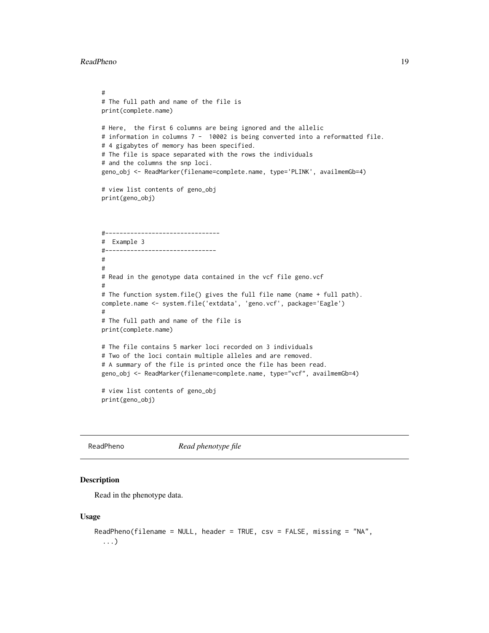```
#
# The full path and name of the file is
print(complete.name)
# Here, the first 6 columns are being ignored and the allelic
# information in columns 7 - 10002 is being converted into a reformatted file.
# 4 gigabytes of memory has been specified.
# The file is space separated with the rows the individuals
# and the columns the snp loci.
geno_obj <- ReadMarker(filename=complete.name, type='PLINK', availmemGb=4)
# view list contents of geno_obj
print(geno_obj)
#--------------------------------
# Example 3
#-------------------------------
#
#
# Read in the genotype data contained in the vcf file geno.vcf
#
# The function system.file() gives the full file name (name + full path).
complete.name <- system.file('extdata', 'geno.vcf', package='Eagle')
#
# The full path and name of the file is
print(complete.name)
# The file contains 5 marker loci recorded on 3 individuals
# Two of the loci contain multiple alleles and are removed.
# A summary of the file is printed once the file has been read.
geno_obj <- ReadMarker(filename=complete.name, type="vcf", availmemGb=4)
# view list contents of geno_obj
print(geno_obj)
```
<span id="page-18-1"></span>

ReadPheno *Read phenotype file*

## **Description**

Read in the phenotype data.

#### Usage

```
ReadPheno(filename = NULL, header = TRUE, csv = FALSE, missing = "NA",
  ...)
```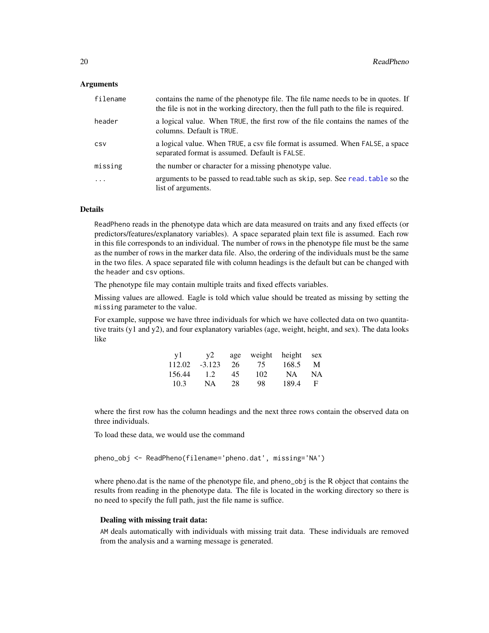## <span id="page-19-0"></span>Arguments

| filename | contains the name of the phenotype file. The file name needs to be in quotes. If<br>the file is not in the working directory, then the full path to the file is required. |
|----------|---------------------------------------------------------------------------------------------------------------------------------------------------------------------------|
| header   | a logical value. When TRUE, the first row of the file contains the names of the<br>columns. Default is TRUE.                                                              |
| CSV      | a logical value. When TRUE, a csv file format is assumed. When FALSE, a space<br>separated format is assumed. Default is FALSE.                                           |
| missing  | the number or character for a missing phenotype value.                                                                                                                    |
| $\cdot$  | arguments to be passed to read, table such as skip, sep. See read, table so the<br>list of arguments.                                                                     |

## Details

ReadPheno reads in the phenotype data which are data measured on traits and any fixed effects (or predictors/features/explanatory variables). A space separated plain text file is assumed. Each row in this file corresponds to an individual. The number of rows in the phenotype file must be the same as the number of rows in the marker data file. Also, the ordering of the individuals must be the same in the two files. A space separated file with column headings is the default but can be changed with the header and csv options.

The phenotype file may contain multiple traits and fixed effects variables.

Missing values are allowed. Eagle is told which value should be treated as missing by setting the missing parameter to the value.

For example, suppose we have three individuals for which we have collected data on two quantitative traits (y1 and y2), and four explanatory variables (age, weight, height, and sex). The data looks like

| v1     | v2       |    | age weight height sex |       |           |
|--------|----------|----|-----------------------|-------|-----------|
| 112.02 | $-3.123$ | 26 | 75                    | 168.5 | M         |
| 156.44 | 1.2.     | 45 | 102                   | NA.   | <b>NA</b> |
| 10.3   | NA       | 28 | 98                    | 189.4 | - F       |

where the first row has the column headings and the next three rows contain the observed data on three individuals.

To load these data, we would use the command

pheno\_obj <- ReadPheno(filename='pheno.dat', missing='NA')

where pheno.dat is the name of the phenotype file, and pheno\_obj is the R object that contains the results from reading in the phenotype data. The file is located in the working directory so there is no need to specify the full path, just the file name is suffice.

## Dealing with missing trait data:

AM deals automatically with individuals with missing trait data. These individuals are removed from the analysis and a warning message is generated.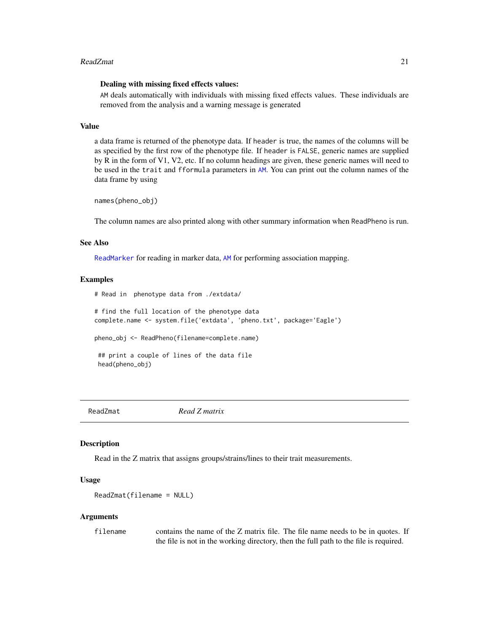## <span id="page-20-0"></span>ReadZmat 21

## Dealing with missing fixed effects values:

AM deals automatically with individuals with missing fixed effects values. These individuals are removed from the analysis and a warning message is generated

## Value

a data frame is returned of the phenotype data. If header is true, the names of the columns will be as specified by the first row of the phenotype file. If header is FALSE, generic names are supplied by R in the form of V1, V2, etc. If no column headings are given, these generic names will need to be used in the trait and fformula parameters in [AM](#page-2-1). You can print out the column names of the data frame by using

names(pheno\_obj)

The column names are also printed along with other summary information when ReadPheno is run.

## See Also

[ReadMarker](#page-14-1) for reading in marker data, [AM](#page-2-1) for performing association mapping.

#### Examples

```
# Read in phenotype data from ./extdata/
# find the full location of the phenotype data
complete.name <- system.file('extdata', 'pheno.txt', package='Eagle')
pheno_obj <- ReadPheno(filename=complete.name)
## print a couple of lines of the data file
head(pheno_obj)
```
ReadZmat *Read Z matrix*

## Description

Read in the Z matrix that assigns groups/strains/lines to their trait measurements.

## Usage

```
ReadZmat(filename = NULL)
```
#### Arguments

filename contains the name of the Z matrix file. The file name needs to be in quotes. If the file is not in the working directory, then the full path to the file is required.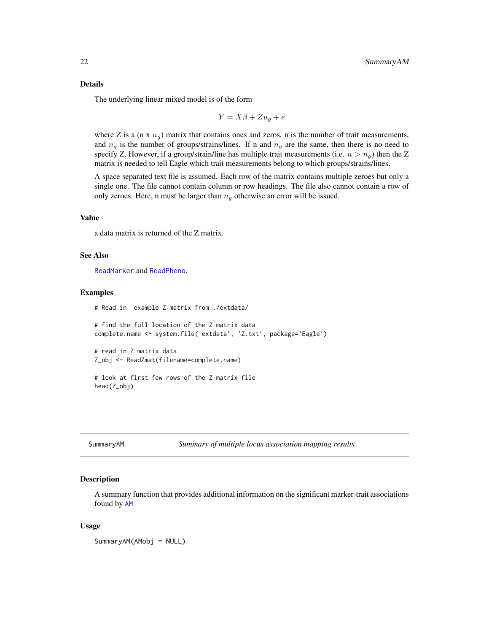## <span id="page-21-0"></span>Details

The underlying linear mixed model is of the form

$$
Y = X\beta + Zu_g + e
$$

where Z is a (n x  $n_g$ ) matrix that contains ones and zeros, n is the number of trait measurements, and  $n_q$  is the number of groups/strains/lines. If n and  $n_q$  are the same, then there is no need to specify Z. However, if a group/strain/line has multiple trait measurements (i.e.  $n > n_q$ ) then the Z matrix is needed to tell Eagle which trait measurements belong to which groups/strains/lines.

A space separated text file is assumed. Each row of the matrix contains multiple zeroes but only a single one. The file cannot contain column or row headings. The file also cannot contain a row of only zeroes. Here, n must be larger than  $n<sub>q</sub>$  otherwise an error will be issued.

#### Value

a data matrix is returned of the Z matrix.

## See Also

[ReadMarker](#page-14-1) and [ReadPheno](#page-18-1).

#### Examples

```
# Read in example Z matrix from ./extdata/
# find the full location of the Z matrix data
complete.name <- system.file('extdata', 'Z.txt', package='Eagle')
# read in Z matrix data
Z_obj <- ReadZmat(filename=complete.name)
# look at first few rows of the Z matrix file
```
head(Z\_obj)

<span id="page-21-1"></span>SummaryAM *Summary of multiple locus association mapping results*

## Description

A summary function that provides additional information on the significant marker-trait associations found by [AM](#page-2-1)

## Usage

SummaryAM(AMobj = NULL)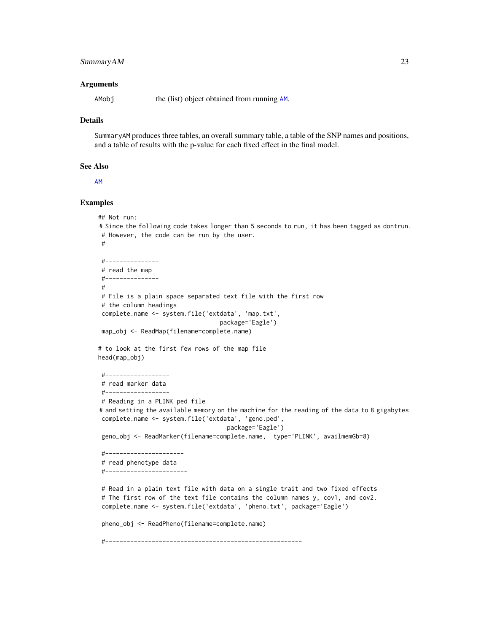## <span id="page-22-0"></span>Summary AM 23

## Arguments

[AM](#page-2-1)obj the (list) object obtained from running AM.

## Details

SummaryAM produces three tables, an overall summary table, a table of the SNP names and positions, and a table of results with the p-value for each fixed effect in the final model.

#### See Also

[AM](#page-2-1)

## Examples

```
## Not run:
# Since the following code takes longer than 5 seconds to run, it has been tagged as dontrun.
# However, the code can be run by the user.
#
#---------------
# read the map
#---------------
#
# File is a plain space separated text file with the first row
# the column headings
complete.name <- system.file('extdata', 'map.txt',
                                  package='Eagle')
map_obj <- ReadMap(filename=complete.name)
# to look at the first few rows of the map file
head(map_obj)
#------------------
# read marker data
#------------------
# Reading in a PLINK ped file
# and setting the available memory on the machine for the reading of the data to 8 gigabytes
complete.name <- system.file('extdata', 'geno.ped',
                                    package='Eagle')
geno_obj <- ReadMarker(filename=complete.name, type='PLINK', availmemGb=8)
 #----------------------
# read phenotype data
#-----------------------
# Read in a plain text file with data on a single trait and two fixed effects
# The first row of the text file contains the column names y, cov1, and cov2.
complete.name <- system.file('extdata', 'pheno.txt', package='Eagle')
pheno_obj <- ReadPheno(filename=complete.name)
 #-------------------------------------------------------
```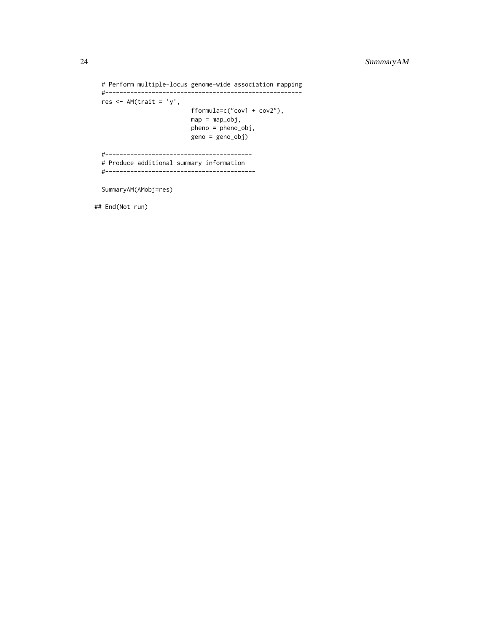# Perform multiple-locus genome-wide association mapping

```
#-------------------------------------------------------
res < -AM(traini = 'y',fformula=c("cov1 + cov2"),
                         map = map\_obj,pheno = pheno_obj,
                         geno = geno_obj)
#-----------------------------------------
```
# Produce additional summary information

#------------------------------------------

SummaryAM(AMobj=res)

## End(Not run)